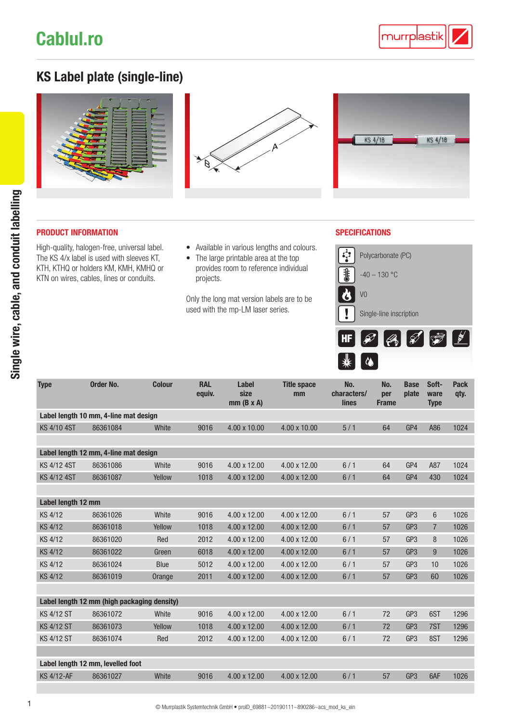# [Cablul.ro](https://cablul.ro)

### KS Label plate (single-line)







### **PRODUCT INFORMATION** SPECIFICATIONS

High-quality, halogen-free, universal label. The KS 4/x label is used with sleeves KT, KTH, KTHQ or holders KM, KMH, KMHQ or KTN on wires, cables, lines or conduits.

- Available in various lengths and colours.
- The large printable area at the top provides room to reference individual projects.

Only the long mat version labels are to be used with the mp-LM laser series.



| <b>Type</b>                                 | <b>Order No.</b> | <b>Colour</b> | <b>RAL</b><br>equiv. | <b>Label</b><br>size<br>$mm(B \times A)$ | <b>Title space</b><br>mm | No.<br>characters/<br><b>lines</b> | No.<br>per<br><b>Frame</b> | <b>Base</b><br>plate | Soft-<br>ware<br><b>Type</b> | <b>Pack</b><br>qty. |
|---------------------------------------------|------------------|---------------|----------------------|------------------------------------------|--------------------------|------------------------------------|----------------------------|----------------------|------------------------------|---------------------|
| Label length 10 mm, 4-line mat design       |                  |               |                      |                                          |                          |                                    |                            |                      |                              |                     |
| <b>KS 4/10 4ST</b>                          | 86361084         | White         | 9016                 | 4.00 x 10.00                             | 4.00 x 10.00             | 5/1                                | 64                         | GP4                  | A86                          | 1024                |
|                                             |                  |               |                      |                                          |                          |                                    |                            |                      |                              |                     |
| Label length 12 mm, 4-line mat design       |                  |               |                      |                                          |                          |                                    |                            |                      |                              |                     |
| <b>KS 4/12 4ST</b>                          | 86361086         | White         | 9016                 | 4.00 x 12.00                             | 4.00 x 12.00             | 6/1                                | 64                         | GP4                  | A87                          | 1024                |
| KS 4/12 4ST                                 | 86361087         | Yellow        | 1018                 | 4.00 x 12.00                             | 4.00 x 12.00             | 6/1                                | 64                         | GP4                  | 430                          | 1024                |
|                                             |                  |               |                      |                                          |                          |                                    |                            |                      |                              |                     |
| Label length 12 mm                          |                  |               |                      |                                          |                          |                                    |                            |                      |                              |                     |
| <b>KS 4/12</b>                              | 86361026         | White         | 9016                 | 4.00 x 12.00                             | 4.00 x 12.00             | 6/1                                | 57                         | GP <sub>3</sub>      | $6\phantom{.}$               | 1026                |
| <b>KS 4/12</b>                              | 86361018         | Yellow        | 1018                 | 4.00 x 12.00                             | 4.00 x 12.00             | 6/1                                | 57                         | GP <sub>3</sub>      | $\overline{7}$               | 1026                |
| KS 4/12                                     | 86361020         | Red           | 2012                 | 4.00 x 12.00                             | 4.00 x 12.00             | 6/1                                | 57                         | GP <sub>3</sub>      | 8                            | 1026                |
| <b>KS 4/12</b>                              | 86361022         | Green         | 6018                 | 4.00 x 12.00                             | 4.00 x 12.00             | 6/1                                | 57                         | GP <sub>3</sub>      | 9                            | 1026                |
| <b>KS 4/12</b>                              | 86361024         | <b>Blue</b>   | 5012                 | 4.00 x 12.00                             | 4.00 x 12.00             | 6/1                                | 57                         | GP <sub>3</sub>      | 10                           | 1026                |
| <b>KS 4/12</b>                              | 86361019         | Orange        | 2011                 | 4.00 x 12.00                             | 4.00 x 12.00             | 6/1                                | 57                         | GP <sub>3</sub>      | 60                           | 1026                |
|                                             |                  |               |                      |                                          |                          |                                    |                            |                      |                              |                     |
| Label length 12 mm (high packaging density) |                  |               |                      |                                          |                          |                                    |                            |                      |                              |                     |
| <b>KS 4/12 ST</b>                           | 86361072         | White         | 9016                 | 4.00 x 12.00                             | 4.00 x 12.00             | 6/1                                | 72                         | GP <sub>3</sub>      | 6ST                          | 1296                |
| <b>KS 4/12 ST</b>                           | 86361073         | Yellow        | 1018                 | 4.00 x 12.00                             | 4.00 x 12.00             | 6/1                                | 72                         | GP <sub>3</sub>      | 7ST                          | 1296                |
| <b>KS 4/12 ST</b>                           | 86361074         | Red           | 2012                 | 4.00 x 12.00                             | 4.00 x 12.00             | 6/1                                | 72                         | GP <sub>3</sub>      | 8ST                          | 1296                |
|                                             |                  |               |                      |                                          |                          |                                    |                            |                      |                              |                     |
| Label length 12 mm, levelled foot           |                  |               |                      |                                          |                          |                                    |                            |                      |                              |                     |
| <b>KS 4/12-AF</b>                           | 86361027         | White         | 9016                 | 4.00 x 12.00                             | 4.00 x 12.00             | 6/1                                | 57                         | GP <sub>3</sub>      | 6AF                          | 1026                |
|                                             |                  |               |                      |                                          |                          |                                    |                            |                      |                              |                     |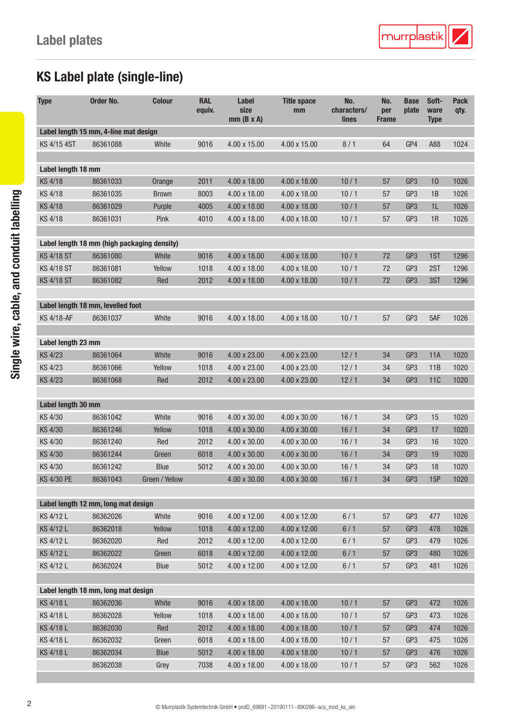## KS Label plate (single-line)

| <b>Type</b>                                 | Order No.                           | <b>Colour</b>  | <b>RAL</b><br>equiv. | <b>Label</b><br>size<br>$mm(B \times A)$ | <b>Title space</b><br>mm | No.<br>characters/<br>lines | No.<br>per<br><b>Frame</b> | <b>Base</b><br>plate | Soft-<br>ware<br><b>Type</b> | <b>Pack</b><br>qty. |
|---------------------------------------------|-------------------------------------|----------------|----------------------|------------------------------------------|--------------------------|-----------------------------|----------------------------|----------------------|------------------------------|---------------------|
| Label length 15 mm, 4-line mat design       |                                     |                |                      |                                          |                          |                             |                            |                      |                              |                     |
| KS 4/15 4ST                                 | 86361088                            | White          | 9016                 | 4.00 x 15.00                             | 4.00 x 15.00             | 8/1                         | 64                         | GP4                  | A88                          | 1024                |
|                                             |                                     |                |                      |                                          |                          |                             |                            |                      |                              |                     |
| Label length 18 mm                          |                                     |                |                      |                                          |                          |                             |                            |                      |                              |                     |
| <b>KS 4/18</b>                              | 86361033                            | Orange         | 2011                 | 4.00 x 18.00                             | 4.00 x 18.00             | 10/1                        | 57                         | GP3                  | 10                           | 1026                |
| <b>KS 4/18</b>                              | 86361035                            | <b>Brown</b>   | 8003                 | 4.00 x 18.00                             | 4.00 x 18.00             | 10/1                        | 57                         | GP3                  | 1B                           | 1026                |
| <b>KS 4/18</b>                              | 86361029                            | Purple         | 4005                 | 4.00 x 18.00                             | 4.00 x 18.00             | 10/1                        | 57                         | GP <sub>3</sub>      | 1L                           | 1026                |
| KS 4/18                                     | 86361031                            | Pink           | 4010                 | 4.00 x 18.00                             | 4.00 x 18.00             | 10/1                        | 57                         | GP <sub>3</sub>      | 1R                           | 1026                |
|                                             |                                     |                |                      |                                          |                          |                             |                            |                      |                              |                     |
| Label length 18 mm (high packaging density) |                                     |                |                      |                                          |                          |                             |                            |                      |                              |                     |
| <b>KS 4/18 ST</b>                           | 86361080                            | White          | 9016                 | 4.00 x 18.00                             | 4.00 x 18.00             | 10/1                        | 72                         | GP3                  | 1ST                          | 1296                |
| <b>KS 4/18 ST</b>                           | 86361081                            | Yellow         | 1018                 | 4.00 x 18.00                             | 4.00 x 18.00             | 10/1                        | 72                         | GP <sub>3</sub>      | 2ST                          | 1296                |
| <b>KS 4/18 ST</b>                           | 86361082                            | Red            | 2012                 | 4.00 x 18.00                             | 4.00 x 18.00             | 10/1                        | 72                         | GP <sub>3</sub>      | 3ST                          | 1296                |
|                                             | Label length 18 mm, levelled foot   |                |                      |                                          |                          |                             |                            |                      |                              |                     |
| <b>KS 4/18-AF</b>                           | 86361037                            | White          | 9016                 | 4.00 x 18.00                             | 4.00 x 18.00             | 10/1                        | 57                         | GP <sub>3</sub>      | 5AF                          | 1026                |
|                                             |                                     |                |                      |                                          |                          |                             |                            |                      |                              |                     |
| Label length 23 mm                          |                                     |                |                      |                                          |                          |                             |                            |                      |                              |                     |
| <b>KS 4/23</b>                              | 86361064                            | White          | 9016                 | 4.00 x 23.00                             | 4.00 x 23.00             | 12/1                        | 34                         | GP3                  | 11A                          | 1020                |
| KS 4/23                                     | 86361066                            | Yellow         | 1018                 | 4.00 x 23.00                             | 4.00 x 23.00             | 12/1                        | 34                         | GP <sub>3</sub>      | 11B                          | 1020                |
| <b>KS 4/23</b>                              | 86361068                            | Red            | 2012                 | 4.00 x 23.00                             | 4.00 x 23.00             | 12/1                        | 34                         | GP <sub>3</sub>      | <b>11C</b>                   | 1020                |
|                                             |                                     |                |                      |                                          |                          |                             |                            |                      |                              |                     |
| Label length 30 mm                          |                                     |                |                      |                                          |                          |                             |                            |                      |                              |                     |
| KS 4/30                                     | 86361042                            | White          | 9016                 | 4.00 x 30.00                             | 4.00 x 30.00             | 16/1                        | 34                         | GP <sub>3</sub>      | 15                           | 1020                |
| KS 4/30                                     | 86361246                            | Yellow         | 1018                 | 4.00 x 30.00                             | 4.00 x 30.00             | 16/1                        | 34                         | GP <sub>3</sub>      | 17                           | 1020                |
| KS 4/30                                     | 86361240                            | Red            | 2012                 | 4.00 x 30.00                             | 4.00 x 30.00             | 16/1                        | 34                         | GP <sub>3</sub>      | 16                           | 1020                |
| KS 4/30                                     | 86361244                            | Green          | 6018                 | 4.00 x 30.00                             | 4.00 x 30.00             | 16/1                        | 34                         | GP <sub>3</sub>      | 19                           | 1020                |
| KS 4/30                                     | 86361242                            | Blue           | 5012                 | 4.00 x 30.00                             | 4.00 x 30.00             | 16/1                        | 34                         | GP3                  | 18                           | 1020                |
| KS 4/30 PE                                  | 86361043                            | Green / Yellow |                      | 4.00 x 30.00                             | 4.00 x 30.00             | 16/1                        | 34                         | GP3                  | 15P                          | 1020                |
|                                             |                                     |                |                      |                                          |                          |                             |                            |                      |                              |                     |
|                                             | Label length 12 mm, long mat design |                |                      |                                          |                          |                             |                            |                      |                              |                     |
| KS 4/12 L                                   | 86362026                            | White          | 9016                 | 4.00 x 12.00                             | 4.00 x 12.00             | 6/1                         | 57                         | GP3                  | 477                          | 1026                |
| KS 4/12 L                                   | 86362018                            | Yellow         | 1018                 | 4.00 x 12.00                             | 4.00 x 12.00             | 6/1                         | 57                         | GP <sub>3</sub>      | 478                          | 1026                |
| KS 4/12 L                                   | 86362020                            | Red            | 2012                 | 4.00 x 12.00                             | 4.00 x 12.00             | 6/1                         | 57                         | GP <sub>3</sub>      | 479                          | 1026                |
| KS 4/12 L                                   | 86362022                            | Green          | 6018                 | 4.00 x 12.00                             | 4.00 x 12.00             | 6/1                         | 57                         | GP <sub>3</sub>      | 480                          | 1026                |
| KS 4/12 L                                   | 86362024                            | Blue           | 5012                 | 4.00 x 12.00                             | 4.00 x 12.00             | 6/1                         | 57                         | GP <sub>3</sub>      | 481                          | 1026                |
|                                             |                                     |                |                      |                                          |                          |                             |                            |                      |                              |                     |
|                                             | Label length 18 mm, long mat design |                |                      |                                          |                          |                             |                            |                      |                              |                     |
| KS 4/18 L                                   | 86362036                            | White          | 9016                 | 4.00 x 18.00                             | 4.00 x 18.00             | 10/1                        | 57                         | GP3                  | 472                          | 1026                |
| KS 4/18 L                                   | 86362028                            | Yellow         | 1018                 | 4.00 x 18.00                             | 4.00 x 18.00             | 10/1                        | 57                         | GP3                  | 473                          | 1026                |
| KS 4/18 L                                   | 86362030                            | Red            | 2012                 | 4.00 x 18.00                             | 4.00 x 18.00             | 10/1                        | 57                         | GP <sub>3</sub>      | 474                          | 1026                |
| KS 4/18 L                                   | 86362032                            | Green          | 6018                 | 4.00 x 18.00                             | 4.00 x 18.00             | 10/1                        | 57                         | GP <sub>3</sub>      | 475                          | 1026                |
| KS 4/18 L                                   | 86362034                            | Blue           | 5012                 | 4.00 x 18.00                             | 4.00 x 18.00             | 10/1                        | 57                         | GP <sub>3</sub>      | 476                          | 1026                |
|                                             | 86362038                            | Grey           | 7038                 | 4.00 x 18.00                             | 4.00 x 18.00             | 10/1                        | 57                         | GP <sub>3</sub>      | 562                          | 1026                |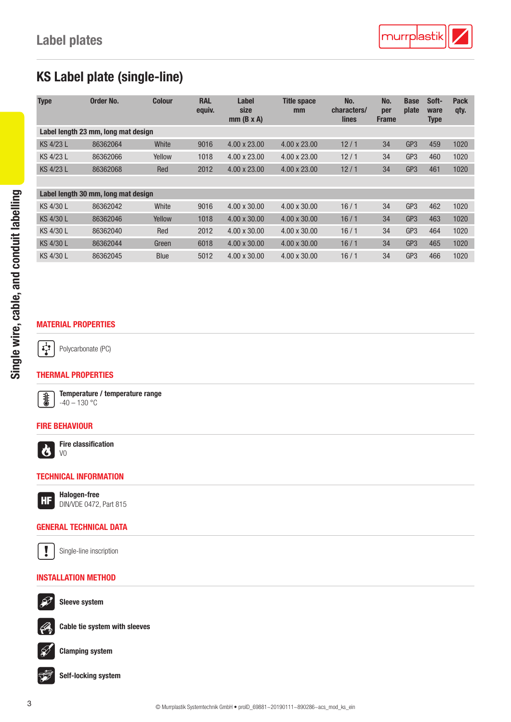### KS Label plate (single-line)

| <b>Type</b>                         | Order No.                           | <b>Colour</b> | <b>RAL</b><br>equiv. | Label<br>size<br>$mm$ (B x A) | <b>Title space</b><br>mm | No.<br>characters/<br>lines | No.<br>per<br><b>Frame</b> | <b>Base</b><br>plate | Soft-<br>ware<br><b>Type</b> | <b>Pack</b><br>qty. |
|-------------------------------------|-------------------------------------|---------------|----------------------|-------------------------------|--------------------------|-----------------------------|----------------------------|----------------------|------------------------------|---------------------|
|                                     | Label length 23 mm, long mat design |               |                      |                               |                          |                             |                            |                      |                              |                     |
| KS 4/23 L                           | 86362064                            | White         | 9016                 | $4.00 \times 23.00$           | 4.00 x 23.00             | 12/1                        | 34                         | GP <sub>3</sub>      | 459                          | 1020                |
| KS 4/23 L                           | 86362066                            | Yellow        | 1018                 | 4.00 x 23.00                  | $4.00 \times 23.00$      | 12/1                        | 34                         | GP <sub>3</sub>      | 460                          | 1020                |
| KS 4/23 L                           | 86362068                            | Red           | 2012                 | 4.00 x 23.00                  | $4.00 \times 23.00$      | 12/1                        | 34                         | GP <sub>3</sub>      | 461                          | 1020                |
|                                     |                                     |               |                      |                               |                          |                             |                            |                      |                              |                     |
| Label length 30 mm, long mat design |                                     |               |                      |                               |                          |                             |                            |                      |                              |                     |
| KS 4/30 L                           | 86362042                            | White         | 9016                 | 4.00 x 30.00                  | 4.00 x 30.00             | 16/1                        | 34                         | GP <sub>3</sub>      | 462                          | 1020                |
| KS 4/30 L                           | 86362046                            | Yellow        | 1018                 | $4.00 \times 30.00$           | $4.00 \times 30.00$      | 16/1                        | 34                         | GP <sub>3</sub>      | 463                          | 1020                |
| KS 4/30 L                           | 86362040                            | Red           | 2012                 | $4.00 \times 30.00$           | $4.00 \times 30.00$      | 16/1                        | 34                         | GP <sub>3</sub>      | 464                          | 1020                |
| KS 4/30 L                           | 86362044                            | Green         | 6018                 | 4.00 x 30.00                  | 4.00 x 30.00             | 16/1                        | 34                         | GP <sub>3</sub>      | 465                          | 1020                |
| KS 4/30 L                           | 86362045                            | Blue          | 5012                 | $4.00 \times 30.00$           | $4.00 \times 30.00$      | 16/1                        | 34                         | GP <sub>3</sub>      | 466                          | 1020                |

### MATERIAL PROPERTIES

 $\left[\frac{1}{2}\right]$ Polycarbonate (PC)

#### THERMAL PROPERTIES



Temperature / temperature range  $-40 - 130 °C$ 

#### FIRE BEHAVIOUR



Fire classification V0

#### TECHNICAL INFORMATION

Halogen-free **HF** DIN/VDE 0472, Part 815

#### GENERAL TECHNICAL DATA



Single-line inscription

### INSTALLATION METHOD



Sleeve system



Cable tie system with sleeves



Clamping system

Self-locking system